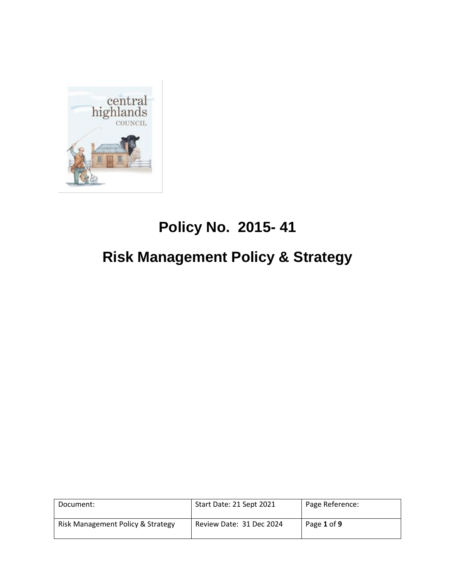

# **Policy No. 2015- 41**

# **Risk Management Policy & Strategy**

| Document:                         | Start Date: 21 Sept 2021 | Page Reference: |
|-----------------------------------|--------------------------|-----------------|
| Risk Management Policy & Strategy | Review Date: 31 Dec 2024 | Page 1 of 9     |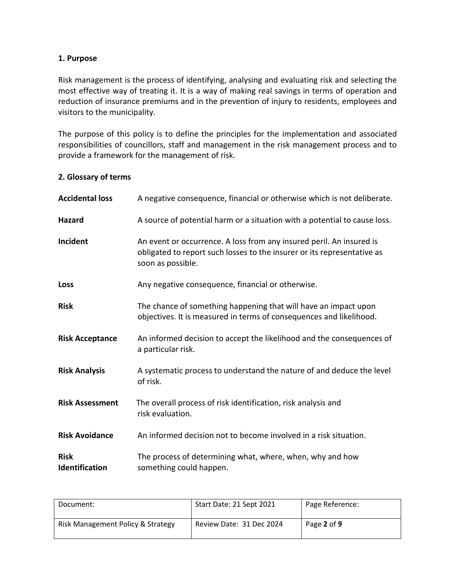#### **1. Purpose**

Risk management is the process of identifying, analysing and evaluating risk and selecting the most effective way of treating it. It is a way of making real savings in terms of operation and reduction of insurance premiums and in the prevention of injury to residents, employees and visitors to the municipality.

The purpose of this policy is to define the principles for the implementation and associated responsibilities of councillors, staff and management in the risk management process and to provide a framework for the management of risk.

#### **2. Glossary of terms**

| <b>Accidental loss</b>        | A negative consequence, financial or otherwise which is not deliberate.                                                                                              |
|-------------------------------|----------------------------------------------------------------------------------------------------------------------------------------------------------------------|
| Hazard                        | A source of potential harm or a situation with a potential to cause loss.                                                                                            |
| Incident                      | An event or occurrence. A loss from any insured peril. An insured is<br>obligated to report such losses to the insurer or its representative as<br>soon as possible. |
| Loss                          | Any negative consequence, financial or otherwise.                                                                                                                    |
| <b>Risk</b>                   | The chance of something happening that will have an impact upon<br>objectives. It is measured in terms of consequences and likelihood.                               |
| <b>Risk Acceptance</b>        | An informed decision to accept the likelihood and the consequences of<br>a particular risk.                                                                          |
| <b>Risk Analysis</b>          | A systematic process to understand the nature of and deduce the level<br>of risk.                                                                                    |
| <b>Risk Assessment</b>        | The overall process of risk identification, risk analysis and<br>risk evaluation.                                                                                    |
| <b>Risk Avoidance</b>         | An informed decision not to become involved in a risk situation.                                                                                                     |
| <b>Risk</b><br>Identification | The process of determining what, where, when, why and how<br>something could happen.                                                                                 |

| Document:                         | Start Date: 21 Sept 2021 | Page Reference: |
|-----------------------------------|--------------------------|-----------------|
| Risk Management Policy & Strategy | Review Date: 31 Dec 2024 | Page 2 of 9     |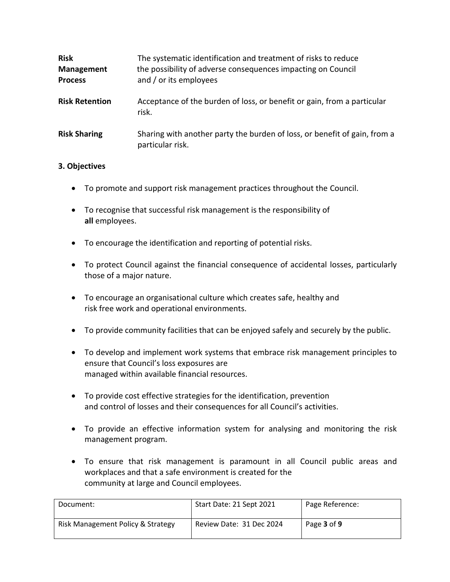| <b>Risk</b><br><b>Management</b><br><b>Process</b> | The systematic identification and treatment of risks to reduce<br>the possibility of adverse consequences impacting on Council<br>and / or its employees |
|----------------------------------------------------|----------------------------------------------------------------------------------------------------------------------------------------------------------|
| <b>Risk Retention</b>                              | Acceptance of the burden of loss, or benefit or gain, from a particular<br>risk.                                                                         |
| <b>Risk Sharing</b>                                | Sharing with another party the burden of loss, or benefit of gain, from a<br>particular risk.                                                            |

# **3. Objectives**

- To promote and support risk management practices throughout the Council.
- To recognise that successful risk management is the responsibility of **all** employees.
- To encourage the identification and reporting of potential risks.
- To protect Council against the financial consequence of accidental losses, particularly those of a major nature.
- To encourage an organisational culture which creates safe, healthy and risk free work and operational environments.
- To provide community facilities that can be enjoyed safely and securely by the public.
- To develop and implement work systems that embrace risk management principles to ensure that Council's loss exposures are managed within available financial resources.
- To provide cost effective strategies for the identification, prevention and control of losses and their consequences for all Council's activities.
- To provide an effective information system for analysing and monitoring the risk management program.
- To ensure that risk management is paramount in all Council public areas and workplaces and that a safe environment is created for the community at large and Council employees.

| Document:                         | Start Date: 21 Sept 2021 | Page Reference: |
|-----------------------------------|--------------------------|-----------------|
| Risk Management Policy & Strategy | Review Date: 31 Dec 2024 | Page 3 of 9     |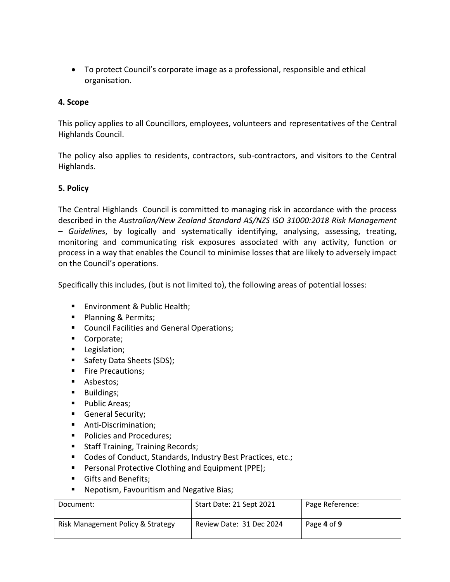• To protect Council's corporate image as a professional, responsible and ethical organisation.

# **4. Scope**

This policy applies to all Councillors, employees, volunteers and representatives of the Central Highlands Council.

The policy also applies to residents, contractors, sub-contractors, and visitors to the Central Highlands.

# **5. Policy**

The Central Highlands Council is committed to managing risk in accordance with the process described in the *Australian/New Zealand Standard AS/NZS ISO 31000:2018 Risk Management – Guidelines*, by logically and systematically identifying, analysing, assessing, treating, monitoring and communicating risk exposures associated with any activity, function or process in a way that enables the Council to minimise losses that are likely to adversely impact on the Council's operations.

Specifically this includes, (but is not limited to), the following areas of potential losses:

- Environment & Public Health;
- Planning & Permits;
- Council Facilities and General Operations;
- Corporate;
- Legislation;
- Safety Data Sheets (SDS);
- **EXECUTE:** Fire Precautions;
- Asbestos;
- Buildings;
- Public Areas;
- General Security;
- Anti-Discrimination;
- Policies and Procedures;
- Staff Training, Training Records;
- Codes of Conduct, Standards, Industry Best Practices, etc.;
- Personal Protective Clothing and Equipment (PPE);
- Gifts and Benefits:
- Nepotism, Favouritism and Negative Bias;

| Document:                         | Start Date: 21 Sept 2021 | Page Reference: |
|-----------------------------------|--------------------------|-----------------|
| Risk Management Policy & Strategy | Review Date: 31 Dec 2024 | Page 4 of 9     |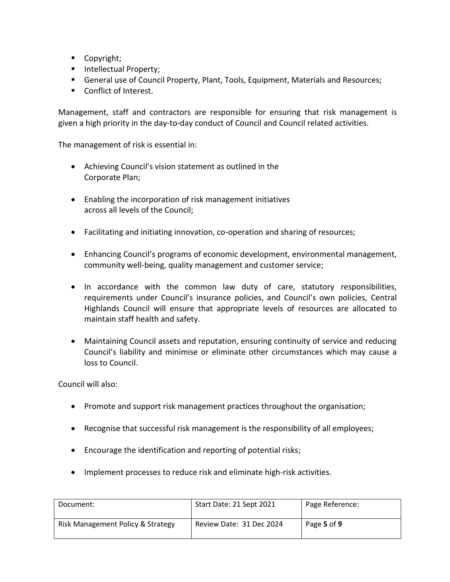- Copyright;
- Intellectual Property;
- General use of Council Property, Plant, Tools, Equipment, Materials and Resources;
- Conflict of Interest.

Management, staff and contractors are responsible for ensuring that risk management is given a high priority in the day-to-day conduct of Council and Council related activities.

The management of risk is essential in:

- Achieving Council's vision statement as outlined in the Corporate Plan;
- Enabling the incorporation of risk management initiatives across all levels of the Council;
- Facilitating and initiating innovation, co-operation and sharing of resources;
- Enhancing Council's programs of economic development, environmental management, community well-being, quality management and customer service;
- In accordance with the common law duty of care, statutory responsibilities, requirements under Council's insurance policies, and Council's own policies, Central Highlands Council will ensure that appropriate levels of resources are allocated to maintain staff health and safety.
- Maintaining Council assets and reputation, ensuring continuity of service and reducing Council's liability and minimise or eliminate other circumstances which may cause a loss to Council.

Council will also:

- Promote and support risk management practices throughout the organisation;
- Recognise that successful risk management is the responsibility of all employees;
- Encourage the identification and reporting of potential risks;
- Implement processes to reduce risk and eliminate high-risk activities.

| Document:                         | Start Date: 21 Sept 2021 | Page Reference: |
|-----------------------------------|--------------------------|-----------------|
| Risk Management Policy & Strategy | Review Date: 31 Dec 2024 | Page 5 of 9     |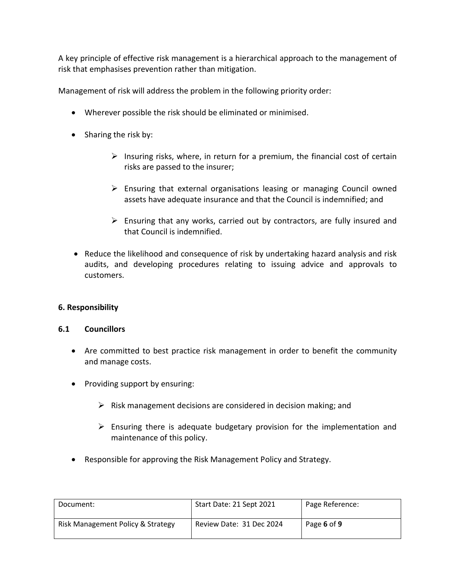A key principle of effective risk management is a hierarchical approach to the management of risk that emphasises prevention rather than mitigation.

Management of risk will address the problem in the following priority order:

- Wherever possible the risk should be eliminated or minimised.
- Sharing the risk by:
	- $\triangleright$  Insuring risks, where, in return for a premium, the financial cost of certain risks are passed to the insurer;
	- $\triangleright$  Ensuring that external organisations leasing or managing Council owned assets have adequate insurance and that the Council is indemnified; and
	- $\triangleright$  Ensuring that any works, carried out by contractors, are fully insured and that Council is indemnified.
- Reduce the likelihood and consequence of risk by undertaking hazard analysis and risk audits, and developing procedures relating to issuing advice and approvals to customers.

# **6. Responsibility**

# **6.1 Councillors**

- Are committed to best practice risk management in order to benefit the community and manage costs.
- Providing support by ensuring:
	- $\triangleright$  Risk management decisions are considered in decision making; and
	- $\triangleright$  Ensuring there is adequate budgetary provision for the implementation and maintenance of this policy.
- Responsible for approving the Risk Management Policy and Strategy.

| Document:                         | Start Date: 21 Sept 2021 | Page Reference: |
|-----------------------------------|--------------------------|-----------------|
| Risk Management Policy & Strategy | Review Date: 31 Dec 2024 | Page 6 of 9     |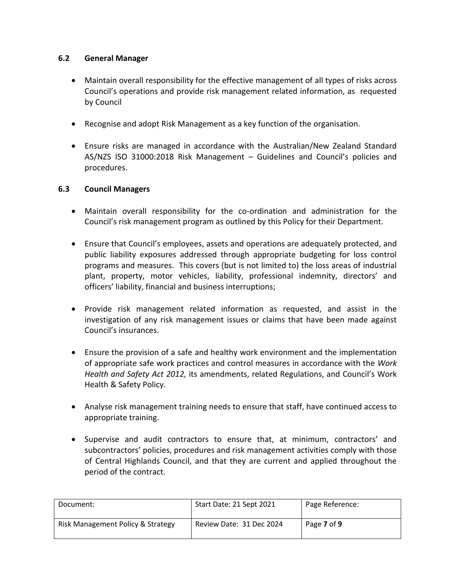# **6.2 General Manager**

- Maintain overall responsibility for the effective management of all types of risks across Council's operations and provide risk management related information, as requested by Council
- Recognise and adopt Risk Management as a key function of the organisation.
- Ensure risks are managed in accordance with the Australian/New Zealand Standard AS/NZS ISO 31000:2018 Risk Management – Guidelines and Council's policies and procedures.

# **6.3 Council Managers**

- Maintain overall responsibility for the co-ordination and administration for the Council's risk management program as outlined by this Policy for their Department.
- Ensure that Council's employees, assets and operations are adequately protected, and public liability exposures addressed through appropriate budgeting for loss control programs and measures. This covers (but is not limited to) the loss areas of industrial plant, property, motor vehicles, liability, professional indemnity, directors' and officers' liability, financial and business interruptions;
- Provide risk management related information as requested, and assist in the investigation of any risk management issues or claims that have been made against Council's insurances.
- Ensure the provision of a safe and healthy work environment and the implementation of appropriate safe work practices and control measures in accordance with the *Work Health and Safety Act 2012,* its amendments, related Regulations, and Council's Work Health & Safety Policy.
- Analyse risk management training needs to ensure that staff, have continued access to appropriate training.
- Supervise and audit contractors to ensure that, at minimum, contractors' and subcontractors' policies, procedures and risk management activities comply with those of Central Highlands Council, and that they are current and applied throughout the period of the contract.

| Document:                         | Start Date: 21 Sept 2021 | Page Reference: |
|-----------------------------------|--------------------------|-----------------|
| Risk Management Policy & Strategy | Review Date: 31 Dec 2024 | Page 7 of 9     |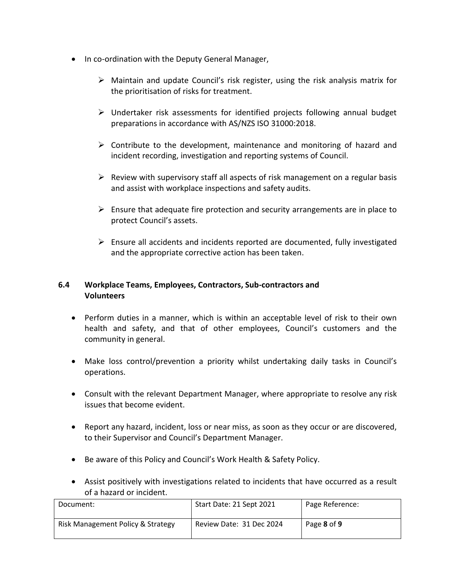- In co-ordination with the Deputy General Manager,
	- ➢ Maintain and update Council's risk register, using the risk analysis matrix for the prioritisation of risks for treatment.
	- ➢ Undertaker risk assessments for identified projects following annual budget preparations in accordance with AS/NZS ISO 31000:2018.
	- $\triangleright$  Contribute to the development, maintenance and monitoring of hazard and incident recording, investigation and reporting systems of Council.
	- $\triangleright$  Review with supervisory staff all aspects of risk management on a regular basis and assist with workplace inspections and safety audits.
	- $\triangleright$  Ensure that adequate fire protection and security arrangements are in place to protect Council's assets.
	- ➢ Ensure all accidents and incidents reported are documented, fully investigated and the appropriate corrective action has been taken.

# **6.4 Workplace Teams, Employees, Contractors, Sub-contractors and Volunteers**

- Perform duties in a manner, which is within an acceptable level of risk to their own health and safety, and that of other employees, Council's customers and the community in general.
- Make loss control/prevention a priority whilst undertaking daily tasks in Council's operations.
- Consult with the relevant Department Manager, where appropriate to resolve any risk issues that become evident.
- Report any hazard, incident, loss or near miss, as soon as they occur or are discovered, to their Supervisor and Council's Department Manager.
- Be aware of this Policy and Council's Work Health & Safety Policy.
- Assist positively with investigations related to incidents that have occurred as a result of a hazard or incident.

| Document:                         | Start Date: 21 Sept 2021 | Page Reference: |
|-----------------------------------|--------------------------|-----------------|
| Risk Management Policy & Strategy | Review Date: 31 Dec 2024 | Page 8 of 9     |